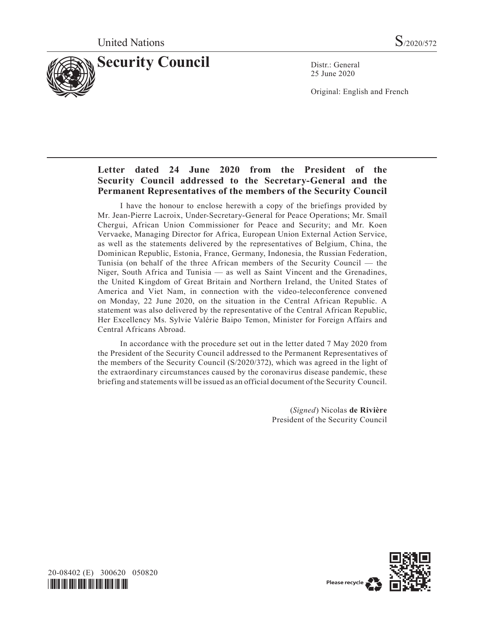

25 June 2020

Original: English and French

# **Letter dated 24 June 2020 from the President of the Security Council addressed to the Secretary-General and the Permanent Representatives of the members of the Security Council**

I have the honour to enclose herewith a copy of the briefings provided by Mr. Jean-Pierre Lacroix, Under-Secretary-General for Peace Operations; Mr. Smaïl Chergui, African Union Commissioner for Peace and Security; and Mr. Koen Vervaeke, Managing Director for Africa, European Union External Action Service, as well as the statements delivered by the representatives of Belgium, China, the Dominican Republic, Estonia, France, Germany, Indonesia, the Russian Federation, Tunisia (on behalf of the three African members of the Security Council — the Niger, South Africa and Tunisia — as well as Saint Vincent and the Grenadines, the United Kingdom of Great Britain and Northern Ireland, the United States of America and Viet Nam, in connection with the video-teleconference convened on Monday, 22 June 2020, on the situation in the Central African Republic. A statement was also delivered by the representative of the Central African Republic, Her Excellency Ms. Sylvie Valérie Baipo Temon, Minister for Foreign Affairs and Central Africans Abroad.

In accordance with the procedure set out in the letter dated 7 May 2020 from the President of the Security Council addressed to the Permanent Representatives of the members of the Security Council (S/2020/372), which was agreed in the light of the extraordinary circumstances caused by the coronavirus disease pandemic, these briefing and statements will be issued as an official document of the Security Council.

> (*Signed*) Nicolas **de Rivière** President of the Security Council



20-08402 (E) 300620 050820 *\*2008402\**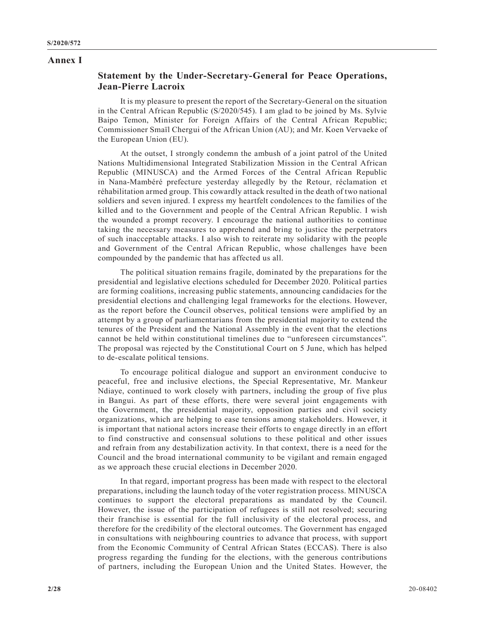#### **Annex I**

## **Statement by the Under-Secretary-General for Peace Operations, Jean-Pierre Lacroix**

It is my pleasure to present the report of the Secretary-General on the situation in the Central African Republic (S/2020/545). I am glad to be joined by Ms. Sylvie Baipo Temon, Minister for Foreign Affairs of the Central African Republic; Commissioner Smaïl Chergui of the African Union (AU); and Mr. Koen Vervaeke of the European Union (EU).

At the outset, I strongly condemn the ambush of a joint patrol of the United Nations Multidimensional Integrated Stabilization Mission in the Central African Republic (MINUSCA) and the Armed Forces of the Central African Republic in Nana-Mambéré prefecture yesterday allegedly by the Retour, réclamation et réhabilitation armed group. This cowardly attack resulted in the death of two national soldiers and seven injured. I express my heartfelt condolences to the families of the killed and to the Government and people of the Central African Republic. I wish the wounded a prompt recovery. I encourage the national authorities to continue taking the necessary measures to apprehend and bring to justice the perpetrators of such inacceptable attacks. I also wish to reiterate my solidarity with the people and Government of the Central African Republic, whose challenges have been compounded by the pandemic that has affected us all.

The political situation remains fragile, dominated by the preparations for the presidential and legislative elections scheduled for December 2020. Political parties are forming coalitions, increasing public statements, announcing candidacies for the presidential elections and challenging legal frameworks for the elections. However, as the report before the Council observes, political tensions were amplified by an attempt by a group of parliamentarians from the presidential majority to extend the tenures of the President and the National Assembly in the event that the elections cannot be held within constitutional timelines due to "unforeseen circumstances". The proposal was rejected by the Constitutional Court on 5 June, which has helped to de-escalate political tensions.

To encourage political dialogue and support an environment conducive to peaceful, free and inclusive elections, the Special Representative, Mr. Mankeur Ndiaye, continued to work closely with partners, including the group of five plus in Bangui. As part of these efforts, there were several joint engagements with the Government, the presidential majority, opposition parties and civil society organizations, which are helping to ease tensions among stakeholders. However, it is important that national actors increase their efforts to engage directly in an effort to find constructive and consensual solutions to these political and other issues and refrain from any destabilization activity. In that context, there is a need for the Council and the broad international community to be vigilant and remain engaged as we approach these crucial elections in December 2020.

In that regard, important progress has been made with respect to the electoral preparations, including the launch today of the voter registration process. MINUSCA continues to support the electoral preparations as mandated by the Council. However, the issue of the participation of refugees is still not resolved; securing their franchise is essential for the full inclusivity of the electoral process, and therefore for the credibility of the electoral outcomes. The Government has engaged in consultations with neighbouring countries to advance that process, with support from the Economic Community of Central African States (ECCAS). There is also progress regarding the funding for the elections, with the generous contributions of partners, including the European Union and the United States. However, the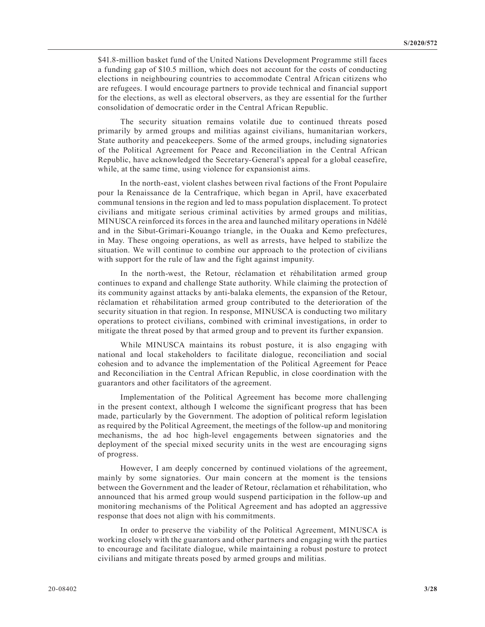\$41.8-million basket fund of the United Nations Development Programme still faces a funding gap of \$10.5 million, which does not account for the costs of conducting elections in neighbouring countries to accommodate Central African citizens who are refugees. I would encourage partners to provide technical and financial support for the elections, as well as electoral observers, as they are essential for the further consolidation of democratic order in the Central African Republic.

The security situation remains volatile due to continued threats posed primarily by armed groups and militias against civilians, humanitarian workers, State authority and peacekeepers. Some of the armed groups, including signatories of the Political Agreement for Peace and Reconciliation in the Central African Republic, have acknowledged the Secretary-General's appeal for a global ceasefire, while, at the same time, using violence for expansionist aims.

In the north-east, violent clashes between rival factions of the Front Populaire pour la Renaissance de la Centrafrique, which began in April, have exacerbated communal tensions in the region and led to mass population displacement. To protect civilians and mitigate serious criminal activities by armed groups and militias, MINUSCA reinforced its forces in the area and launched military operations in Ndélé and in the Sibut-Grimari-Kouango triangle, in the Ouaka and Kemo prefectures, in May. These ongoing operations, as well as arrests, have helped to stabilize the situation. We will continue to combine our approach to the protection of civilians with support for the rule of law and the fight against impunity.

In the north-west, the Retour, réclamation et réhabilitation armed group continues to expand and challenge State authority. While claiming the protection of its community against attacks by anti-balaka elements, the expansion of the Retour, réclamation et réhabilitation armed group contributed to the deterioration of the security situation in that region. In response, MINUSCA is conducting two military operations to protect civilians, combined with criminal investigations, in order to mitigate the threat posed by that armed group and to prevent its further expansion.

While MINUSCA maintains its robust posture, it is also engaging with national and local stakeholders to facilitate dialogue, reconciliation and social cohesion and to advance the implementation of the Political Agreement for Peace and Reconciliation in the Central African Republic, in close coordination with the guarantors and other facilitators of the agreement.

Implementation of the Political Agreement has become more challenging in the present context, although I welcome the significant progress that has been made, particularly by the Government. The adoption of political reform legislation as required by the Political Agreement, the meetings of the follow-up and monitoring mechanisms, the ad hoc high-level engagements between signatories and the deployment of the special mixed security units in the west are encouraging signs of progress.

However, I am deeply concerned by continued violations of the agreement, mainly by some signatories. Our main concern at the moment is the tensions between the Government and the leader of Retour, réclamation et réhabilitation, who announced that his armed group would suspend participation in the follow-up and monitoring mechanisms of the Political Agreement and has adopted an aggressive response that does not align with his commitments.

In order to preserve the viability of the Political Agreement, MINUSCA is working closely with the guarantors and other partners and engaging with the parties to encourage and facilitate dialogue, while maintaining a robust posture to protect civilians and mitigate threats posed by armed groups and militias.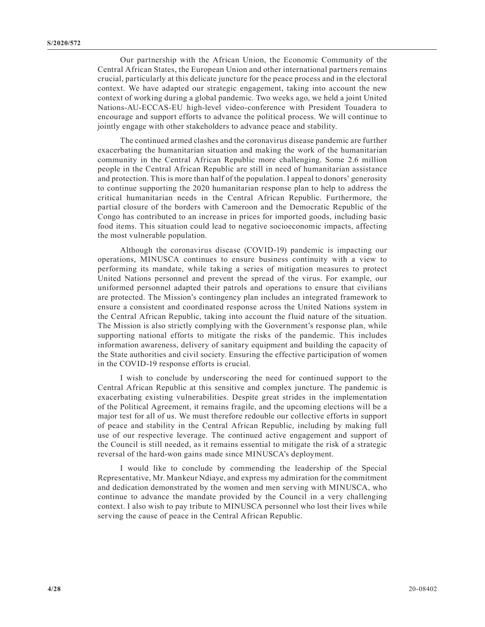Our partnership with the African Union, the Economic Community of the Central African States, the European Union and other international partners remains crucial, particularly at this delicate juncture for the peace process and in the electoral context. We have adapted our strategic engagement, taking into account the new context of working during a global pandemic. Two weeks ago, we held a joint United Nations-AU-ECCAS-EU high-level video-conference with President Touadera to encourage and support efforts to advance the political process. We will continue to jointly engage with other stakeholders to advance peace and stability.

The continued armed clashes and the coronavirus disease pandemic are further exacerbating the humanitarian situation and making the work of the humanitarian community in the Central African Republic more challenging. Some 2.6 million people in the Central African Republic are still in need of humanitarian assistance and protection. This is more than half of the population. I appeal to donors' generosity to continue supporting the 2020 humanitarian response plan to help to address the critical humanitarian needs in the Central African Republic. Furthermore, the partial closure of the borders with Cameroon and the Democratic Republic of the Congo has contributed to an increase in prices for imported goods, including basic food items. This situation could lead to negative socioeconomic impacts, affecting the most vulnerable population.

Although the coronavirus disease (COVID-19) pandemic is impacting our operations, MINUSCA continues to ensure business continuity with a view to performing its mandate, while taking a series of mitigation measures to protect United Nations personnel and prevent the spread of the virus. For example, our uniformed personnel adapted their patrols and operations to ensure that civilians are protected. The Mission's contingency plan includes an integrated framework to ensure a consistent and coordinated response across the United Nations system in the Central African Republic, taking into account the fluid nature of the situation. The Mission is also strictly complying with the Government's response plan, while supporting national efforts to mitigate the risks of the pandemic. This includes information awareness, delivery of sanitary equipment and building the capacity of the State authorities and civil society. Ensuring the effective participation of women in the COVID-19 response efforts is crucial.

I wish to conclude by underscoring the need for continued support to the Central African Republic at this sensitive and complex juncture. The pandemic is exacerbating existing vulnerabilities. Despite great strides in the implementation of the Political Agreement, it remains fragile, and the upcoming elections will be a major test for all of us. We must therefore redouble our collective efforts in support of peace and stability in the Central African Republic, including by making full use of our respective leverage. The continued active engagement and support of the Council is still needed, as it remains essential to mitigate the risk of a strategic reversal of the hard-won gains made since MINUSCA's deployment.

I would like to conclude by commending the leadership of the Special Representative, Mr. Mankeur Ndiaye, and express my admiration for the commitment and dedication demonstrated by the women and men serving with MINUSCA, who continue to advance the mandate provided by the Council in a very challenging context. I also wish to pay tribute to MINUSCA personnel who lost their lives while serving the cause of peace in the Central African Republic.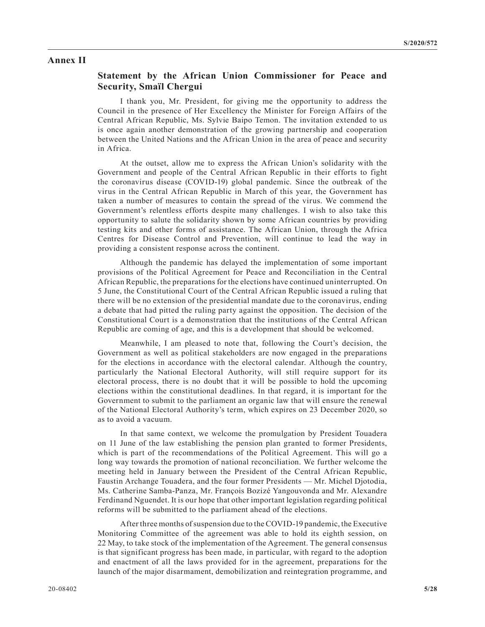#### **Annex II**

## **Statement by the African Union Commissioner for Peace and Security, Smaïl Chergui**

I thank you, Mr. President, for giving me the opportunity to address the Council in the presence of Her Excellency the Minister for Foreign Affairs of the Central African Republic, Ms. Sylvie Baipo Temon. The invitation extended to us is once again another demonstration of the growing partnership and cooperation between the United Nations and the African Union in the area of peace and security in Africa.

At the outset, allow me to express the African Union's solidarity with the Government and people of the Central African Republic in their efforts to fight the coronavirus disease (COVID-19) global pandemic. Since the outbreak of the virus in the Central African Republic in March of this year, the Government has taken a number of measures to contain the spread of the virus. We commend the Government's relentless efforts despite many challenges. I wish to also take this opportunity to salute the solidarity shown by some African countries by providing testing kits and other forms of assistance. The African Union, through the Africa Centres for Disease Control and Prevention, will continue to lead the way in providing a consistent response across the continent.

Although the pandemic has delayed the implementation of some important provisions of the Political Agreement for Peace and Reconciliation in the Central African Republic, the preparations for the elections have continued uninterrupted. On 5 June, the Constitutional Court of the Central African Republic issued a ruling that there will be no extension of the presidential mandate due to the coronavirus, ending a debate that had pitted the ruling party against the opposition. The decision of the Constitutional Court is a demonstration that the institutions of the Central African Republic are coming of age, and this is a development that should be welcomed.

Meanwhile, I am pleased to note that, following the Court's decision, the Government as well as political stakeholders are now engaged in the preparations for the elections in accordance with the electoral calendar. Although the country, particularly the National Electoral Authority, will still require support for its electoral process, there is no doubt that it will be possible to hold the upcoming elections within the constitutional deadlines. In that regard, it is important for the Government to submit to the parliament an organic law that will ensure the renewal of the National Electoral Authority's term, which expires on 23 December 2020, so as to avoid a vacuum.

In that same context, we welcome the promulgation by President Touadera on 11 June of the law establishing the pension plan granted to former Presidents, which is part of the recommendations of the Political Agreement. This will go a long way towards the promotion of national reconciliation. We further welcome the meeting held in January between the President of the Central African Republic, Faustin Archange Touadera, and the four former Presidents — Mr. Michel Djotodia, Ms. Catherine Samba-Panza, Mr. François Bozizé Yangouvonda and Mr. Alexandre Ferdinand Nguendet. It is our hope that other important legislation regarding political reforms will be submitted to the parliament ahead of the elections.

After three months of suspension due to the COVID-19 pandemic, the Executive Monitoring Committee of the agreement was able to hold its eighth session, on 22 May, to take stock of the implementation of the Agreement. The general consensus is that significant progress has been made, in particular, with regard to the adoption and enactment of all the laws provided for in the agreement, preparations for the launch of the major disarmament, demobilization and reintegration programme, and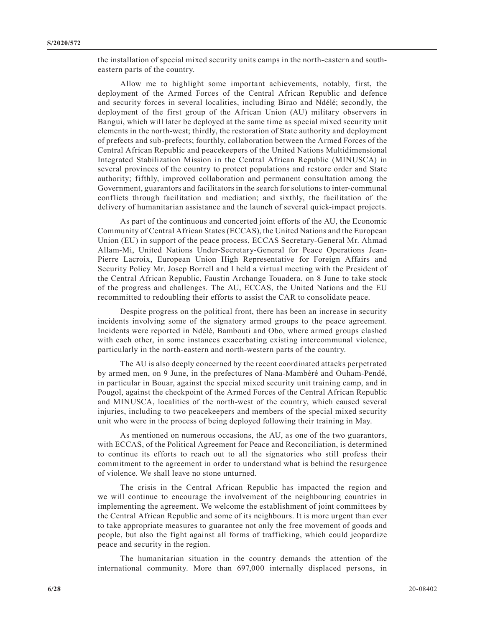the installation of special mixed security units camps in the north-eastern and southeastern parts of the country.

Allow me to highlight some important achievements, notably, first, the deployment of the Armed Forces of the Central African Republic and defence and security forces in several localities, including Birao and Ndélé; secondly, the deployment of the first group of the African Union (AU) military observers in Bangui, which will later be deployed at the same time as special mixed security unit elements in the north-west; thirdly, the restoration of State authority and deployment of prefects and sub-prefects; fourthly, collaboration between the Armed Forces of the Central African Republic and peacekeepers of the United Nations Multidimensional Integrated Stabilization Mission in the Central African Republic (MINUSCA) in several provinces of the country to protect populations and restore order and State authority; fifthly, improved collaboration and permanent consultation among the Government, guarantors and facilitators in the search for solutions to inter-communal conflicts through facilitation and mediation; and sixthly, the facilitation of the delivery of humanitarian assistance and the launch of several quick-impact projects.

As part of the continuous and concerted joint efforts of the AU, the Economic Community of Central African States (ECCAS), the United Nations and the European Union (EU) in support of the peace process, ECCAS Secretary-General Mr. Ahmad Allam-Mi, United Nations Under-Secretary-General for Peace Operations Jean-Pierre Lacroix, European Union High Representative for Foreign Affairs and Security Policy Mr. Josep Borrell and I held a virtual meeting with the President of the Central African Republic, Faustin Archange Touadera, on 8 June to take stock of the progress and challenges. The AU, ECCAS, the United Nations and the EU recommitted to redoubling their efforts to assist the CAR to consolidate peace.

Despite progress on the political front, there has been an increase in security incidents involving some of the signatory armed groups to the peace agreement. Incidents were reported in Ndélé, Bambouti and Obo, where armed groups clashed with each other, in some instances exacerbating existing intercommunal violence, particularly in the north-eastern and north-western parts of the country.

The AU is also deeply concerned by the recent coordinated attacks perpetrated by armed men, on 9 June, in the prefectures of Nana-Mambéré and Ouham-Pendé, in particular in Bouar, against the special mixed security unit training camp, and in Pougol, against the checkpoint of the Armed Forces of the Central African Republic and MINUSCA, localities of the north-west of the country, which caused several injuries, including to two peacekeepers and members of the special mixed security unit who were in the process of being deployed following their training in May.

As mentioned on numerous occasions, the AU, as one of the two guarantors, with ECCAS, of the Political Agreement for Peace and Reconciliation, is determined to continue its efforts to reach out to all the signatories who still profess their commitment to the agreement in order to understand what is behind the resurgence of violence. We shall leave no stone unturned.

The crisis in the Central African Republic has impacted the region and we will continue to encourage the involvement of the neighbouring countries in implementing the agreement. We welcome the establishment of joint committees by the Central African Republic and some of its neighbours. It is more urgent than ever to take appropriate measures to guarantee not only the free movement of goods and people, but also the fight against all forms of trafficking, which could jeopardize peace and security in the region.

The humanitarian situation in the country demands the attention of the international community. More than 697,000 internally displaced persons, in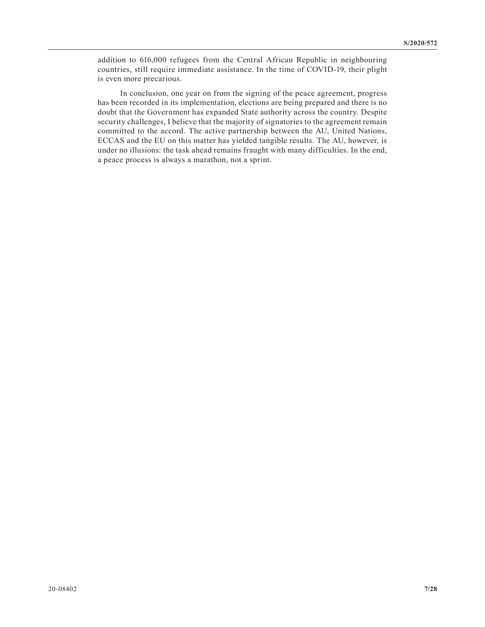addition to 616,000 refugees from the Central African Republic in neighbouring countries, still require immediate assistance. In the time of COVID-19, their plight is even more precarious.

In conclusion, one year on from the signing of the peace agreement, progress has been recorded in its implementation, elections are being prepared and there is no doubt that the Government has expanded State authority across the country. Despite security challenges, I believe that the majority of signatories to the agreement remain committed to the accord. The active partnership between the AU, United Nations, ECCAS and the EU on this matter has yielded tangible results. The AU, however, is under no illusions: the task ahead remains fraught with many difficulties. In the end, a peace process is always a marathon, not a sprint.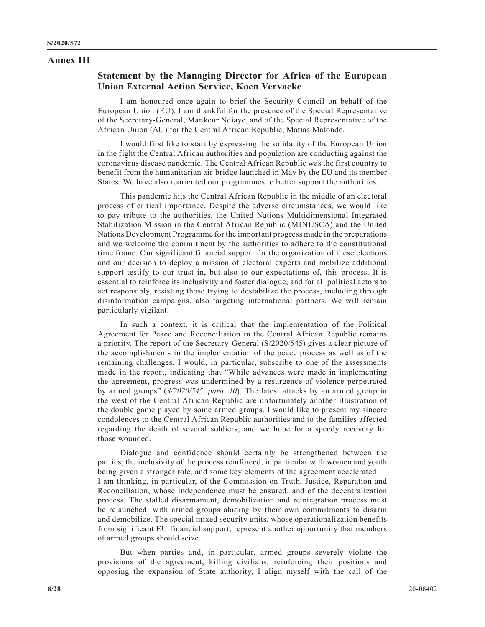#### **Annex III**

## **Statement by the Managing Director for Africa of the European Union External Action Service, Koen Vervaeke**

I am honoured once again to brief the Security Council on behalf of the European Union (EU). I am thankful for the presence of the Special Representative of the Secretary-General, Mankeur Ndiaye, and of the Special Representative of the African Union (AU) for the Central African Republic, Matias Matondo.

I would first like to start by expressing the solidarity of the European Union in the fight the Central African authorities and population are conducting against the coronavirus disease pandemic. The Central African Republic was the first country to benefit from the humanitarian air-bridge launched in May by the EU and its member States. We have also reoriented our programmes to better support the authorities.

This pandemic hits the Central African Republic in the middle of an electoral process of critical importance. Despite the adverse circumstances, we would like to pay tribute to the authorities, the United Nations Multidimensional Integrated Stabilization Mission in the Central African Republic (MINUSCA) and the United Nations Development Programme for the important progress made in the preparations and we welcome the commitment by the authorities to adhere to the constitutional time frame. Our significant financial support for the organization of these elections and our decision to deploy a mission of electoral experts and mobilize additional support testify to our trust in, but also to our expectations of, this process. It is essential to reinforce its inclusivity and foster dialogue, and for all political actors to act responsibly, resisting those trying to destabilize the process, including through disinformation campaigns, also targeting international partners. We will remain particularly vigilant.

In such a context, it is critical that the implementation of the Political Agreement for Peace and Reconciliation in the Central African Republic remains a priority. The report of the Secretary-General (S/2020/545) gives a clear picture of the accomplishments in the implementation of the peace process as well as of the remaining challenges. I would, in particular, subscribe to one of the assessments made in the report, indicating that "While advances were made in implementing the agreement, progress was undermined by a resurgence of violence perpetrated by armed groups" (*S/2020/545, para. 10*). The latest attacks by an armed group in the west of the Central African Republic are unfortunately another illustration of the double game played by some armed groups. I would like to present my sincere condolences to the Central African Republic authorities and to the families affected regarding the death of several soldiers, and we hope for a speedy recovery for those wounded.

Dialogue and confidence should certainly be strengthened between the parties; the inclusivity of the process reinforced, in particular with women and youth being given a stronger role; and some key elements of the agreement accelerated — I am thinking, in particular, of the Commission on Truth, Justice, Reparation and Reconciliation, whose independence must be ensured, and of the decentralization process. The stalled disarmament, demobilization and reintegration process must be relaunched, with armed groups abiding by their own commitments to disarm and demobilize. The special mixed security units, whose operationalization benefits from significant EU financial support, represent another opportunity that members of armed groups should seize.

But when parties and, in particular, armed groups severely violate the provisions of the agreement, killing civilians, reinforcing their positions and opposing the expansion of State authority, I align myself with the call of the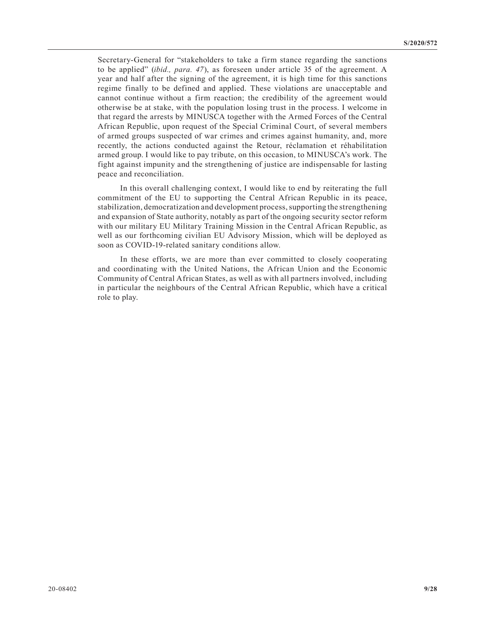Secretary-General for "stakeholders to take a firm stance regarding the sanctions to be applied" (*ibid., para. 47*), as foreseen under article 35 of the agreement. A year and half after the signing of the agreement, it is high time for this sanctions regime finally to be defined and applied. These violations are unacceptable and cannot continue without a firm reaction; the credibility of the agreement would otherwise be at stake, with the population losing trust in the process. I welcome in that regard the arrests by MINUSCA together with the Armed Forces of the Central African Republic, upon request of the Special Criminal Court, of several members of armed groups suspected of war crimes and crimes against humanity, and, more recently, the actions conducted against the Retour, réclamation et réhabilitation armed group. I would like to pay tribute, on this occasion, to MINUSCA's work. The fight against impunity and the strengthening of justice are indispensable for lasting peace and reconciliation.

In this overall challenging context, I would like to end by reiterating the full commitment of the EU to supporting the Central African Republic in its peace, stabilization, democratization and development process, supporting the strengthening and expansion of State authority, notably as part of the ongoing security sector reform with our military EU Military Training Mission in the Central African Republic, as well as our forthcoming civilian EU Advisory Mission, which will be deployed as soon as COVID-19-related sanitary conditions allow.

In these efforts, we are more than ever committed to closely cooperating and coordinating with the United Nations, the African Union and the Economic Community of Central African States, as well as with all partners involved, including in particular the neighbours of the Central African Republic, which have a critical role to play.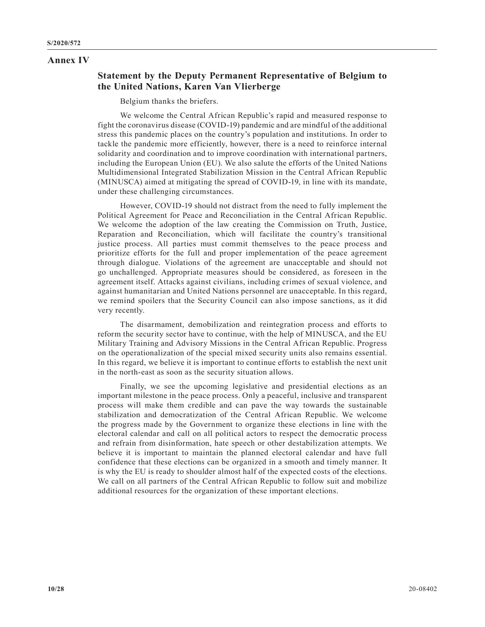#### **Annex IV**

# **Statement by the Deputy Permanent Representative of Belgium to the United Nations, Karen Van Vlierberge**

Belgium thanks the briefers.

We welcome the Central African Republic's rapid and measured response to fight the coronavirus disease (COVID-19) pandemic and are mindful of the additional stress this pandemic places on the country's population and institutions. In order to tackle the pandemic more efficiently, however, there is a need to reinforce internal solidarity and coordination and to improve coordination with international partners, including the European Union (EU). We also salute the efforts of the United Nations Multidimensional Integrated Stabilization Mission in the Central African Republic (MINUSCA) aimed at mitigating the spread of COVID-19, in line with its mandate, under these challenging circumstances.

However, COVID-19 should not distract from the need to fully implement the Political Agreement for Peace and Reconciliation in the Central African Republic. We welcome the adoption of the law creating the Commission on Truth, Justice, Reparation and Reconciliation, which will facilitate the country's transitional justice process. All parties must commit themselves to the peace process and prioritize efforts for the full and proper implementation of the peace agreement through dialogue. Violations of the agreement are unacceptable and should not go unchallenged. Appropriate measures should be considered, as foreseen in the agreement itself. Attacks against civilians, including crimes of sexual violence, and against humanitarian and United Nations personnel are unacceptable. In this regard, we remind spoilers that the Security Council can also impose sanctions, as it did very recently.

The disarmament, demobilization and reintegration process and efforts to reform the security sector have to continue, with the help of MINUSCA, and the EU Military Training and Advisory Missions in the Central African Republic. Progress on the operationalization of the special mixed security units also remains essential. In this regard, we believe it is important to continue efforts to establish the next unit in the north-east as soon as the security situation allows.

Finally, we see the upcoming legislative and presidential elections as an important milestone in the peace process. Only a peaceful, inclusive and transparent process will make them credible and can pave the way towards the sustainable stabilization and democratization of the Central African Republic. We welcome the progress made by the Government to organize these elections in line with the electoral calendar and call on all political actors to respect the democratic process and refrain from disinformation, hate speech or other destabilization attempts. We believe it is important to maintain the planned electoral calendar and have full confidence that these elections can be organized in a smooth and timely manner. It is why the EU is ready to shoulder almost half of the expected costs of the elections. We call on all partners of the Central African Republic to follow suit and mobilize additional resources for the organization of these important elections.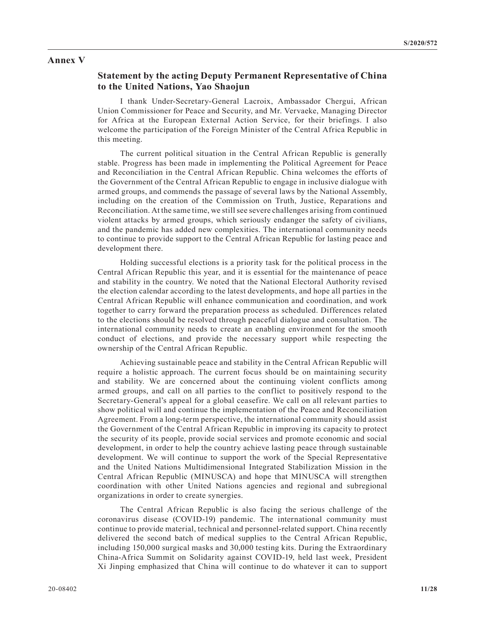#### **Annex V**

## **Statement by the acting Deputy Permanent Representative of China to the United Nations, Yao Shaojun**

I thank Under-Secretary-General Lacroix, Ambassador Chergui, African Union Commissioner for Peace and Security, and Mr. Vervaeke, Managing Director for Africa at the European External Action Service, for their briefings. I also welcome the participation of the Foreign Minister of the Central Africa Republic in this meeting.

The current political situation in the Central African Republic is generally stable. Progress has been made in implementing the Political Agreement for Peace and Reconciliation in the Central African Republic. China welcomes the efforts of the Government of the Central African Republic to engage in inclusive dialogue with armed groups, and commends the passage of several laws by the National Assembly, including on the creation of the Commission on Truth, Justice, Reparations and Reconciliation. At the same time, we still see severe challenges arising from continued violent attacks by armed groups, which seriously endanger the safety of civilians, and the pandemic has added new complexities. The international community needs to continue to provide support to the Central African Republic for lasting peace and development there.

Holding successful elections is a priority task for the political process in the Central African Republic this year, and it is essential for the maintenance of peace and stability in the country. We noted that the National Electoral Authority revised the election calendar according to the latest developments, and hope all parties in the Central African Republic will enhance communication and coordination, and work together to carry forward the preparation process as scheduled. Differences related to the elections should be resolved through peaceful dialogue and consultation. The international community needs to create an enabling environment for the smooth conduct of elections, and provide the necessary support while respecting the ownership of the Central African Republic.

Achieving sustainable peace and stability in the Central African Republic will require a holistic approach. The current focus should be on maintaining security and stability. We are concerned about the continuing violent conflicts among armed groups, and call on all parties to the conflict to positively respond to the Secretary-General's appeal for a global ceasefire. We call on all relevant parties to show political will and continue the implementation of the Peace and Reconciliation Agreement. From a long-term perspective, the international community should assist the Government of the Central African Republic in improving its capacity to protect the security of its people, provide social services and promote economic and social development, in order to help the country achieve lasting peace through sustainable development. We will continue to support the work of the Special Representative and the United Nations Multidimensional Integrated Stabilization Mission in the Central African Republic (MINUSCA) and hope that MINUSCA will strengthen coordination with other United Nations agencies and regional and subregional organizations in order to create synergies.

The Central African Republic is also facing the serious challenge of the coronavirus disease (COVID-19) pandemic. The international community must continue to provide material, technical and personnel-related support. China recently delivered the second batch of medical supplies to the Central African Republic, including 150,000 surgical masks and 30,000 testing kits. During the Extraordinary China-Africa Summit on Solidarity against COVID-19, held last week, President Xi Jinping emphasized that China will continue to do whatever it can to support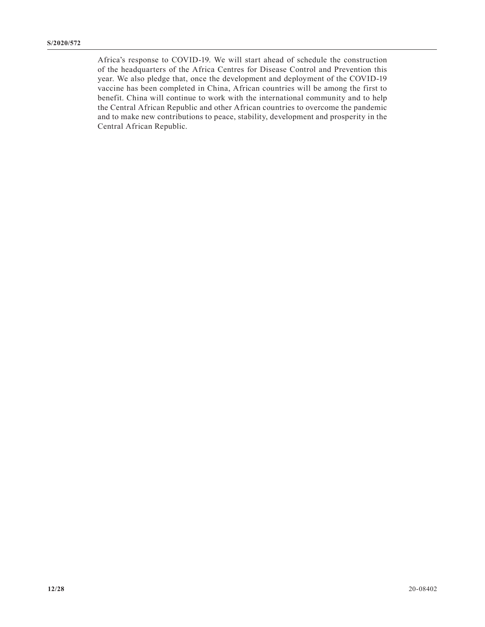Africa's response to COVID-19. We will start ahead of schedule the construction of the headquarters of the Africa Centres for Disease Control and Prevention this year. We also pledge that, once the development and deployment of the COVID-19 vaccine has been completed in China, African countries will be among the first to benefit. China will continue to work with the international community and to help the Central African Republic and other African countries to overcome the pandemic and to make new contributions to peace, stability, development and prosperity in the Central African Republic.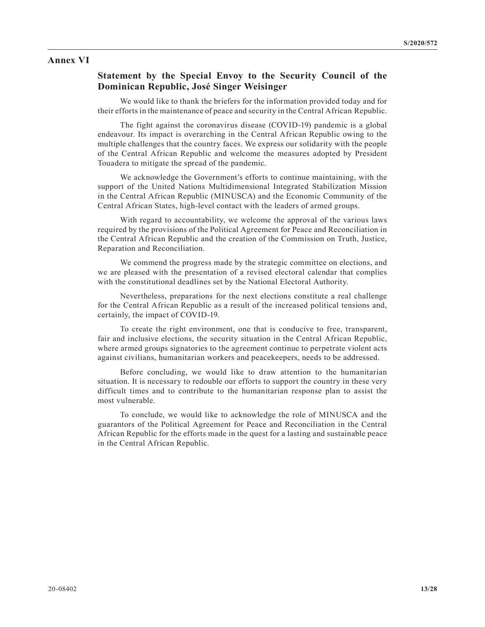#### **Annex VI**

## **Statement by the Special Envoy to the Security Council of the Dominican Republic, José Singer Weisinger**

We would like to thank the briefers for the information provided today and for their efforts in the maintenance of peace and security in the Central African Republic.

The fight against the coronavirus disease (COVID-19) pandemic is a global endeavour. Its impact is overarching in the Central African Republic owing to the multiple challenges that the country faces. We express our solidarity with the people of the Central African Republic and welcome the measures adopted by President Touadera to mitigate the spread of the pandemic.

We acknowledge the Government's efforts to continue maintaining, with the support of the United Nations Multidimensional Integrated Stabilization Mission in the Central African Republic (MINUSCA) and the Economic Community of the Central African States, high-level contact with the leaders of armed groups.

With regard to accountability, we welcome the approval of the various laws required by the provisions of the Political Agreement for Peace and Reconciliation in the Central African Republic and the creation of the Commission on Truth, Justice, Reparation and Reconciliation.

We commend the progress made by the strategic committee on elections, and we are pleased with the presentation of a revised electoral calendar that complies with the constitutional deadlines set by the National Electoral Authority.

Nevertheless, preparations for the next elections constitute a real challenge for the Central African Republic as a result of the increased political tensions and, certainly, the impact of COVID-19.

To create the right environment, one that is conducive to free, transparent, fair and inclusive elections, the security situation in the Central African Republic, where armed groups signatories to the agreement continue to perpetrate violent acts against civilians, humanitarian workers and peacekeepers, needs to be addressed.

Before concluding, we would like to draw attention to the humanitarian situation. It is necessary to redouble our efforts to support the country in these very difficult times and to contribute to the humanitarian response plan to assist the most vulnerable.

To conclude, we would like to acknowledge the role of MINUSCA and the guarantors of the Political Agreement for Peace and Reconciliation in the Central African Republic for the efforts made in the quest for a lasting and sustainable peace in the Central African Republic.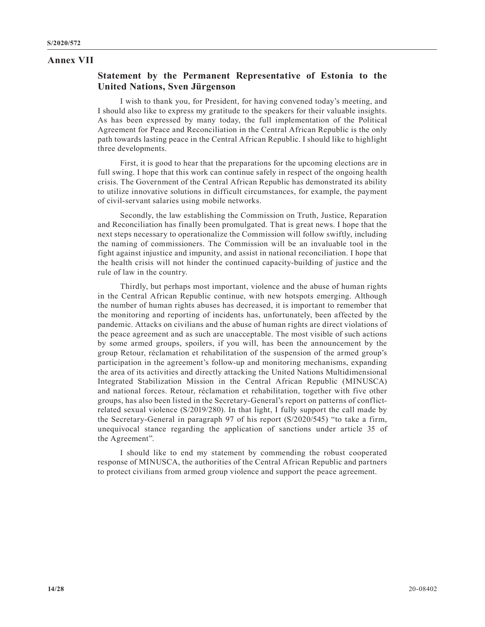#### **Annex VII**

## **Statement by the Permanent Representative of Estonia to the United Nations, Sven Jürgenson**

I wish to thank you, for President, for having convened today's meeting, and I should also like to express my gratitude to the speakers for their valuable insights. As has been expressed by many today, the full implementation of the Political Agreement for Peace and Reconciliation in the Central African Republic is the only path towards lasting peace in the Central African Republic. I should like to highlight three developments.

First, it is good to hear that the preparations for the upcoming elections are in full swing. I hope that this work can continue safely in respect of the ongoing health crisis. The Government of the Central African Republic has demonstrated its ability to utilize innovative solutions in difficult circumstances, for example, the payment of civil-servant salaries using mobile networks.

Secondly, the law establishing the Commission on Truth, Justice, Reparation and Reconciliation has finally been promulgated. That is great news. I hope that the next steps necessary to operationalize the Commission will follow swiftly, including the naming of commissioners. The Commission will be an invaluable tool in the fight against injustice and impunity, and assist in national reconciliation. I hope that the health crisis will not hinder the continued capacity-building of justice and the rule of law in the country.

Thirdly, but perhaps most important, violence and the abuse of human rights in the Central African Republic continue, with new hotspots emerging. Although the number of human rights abuses has decreased, it is important to remember that the monitoring and reporting of incidents has, unfortunately, been affected by the pandemic. Attacks on civilians and the abuse of human rights are direct violations of the peace agreement and as such are unacceptable. The most visible of such actions by some armed groups, spoilers, if you will, has been the announcement by the group Retour, réclamation et rehabilitation of the suspension of the armed group's participation in the agreement's follow-up and monitoring mechanisms, expanding the area of its activities and directly attacking the United Nations Multidimensional Integrated Stabilization Mission in the Central African Republic (MINUSCA) and national forces. Retour, réclamation et rehabilitation, together with five other groups, has also been listed in the Secretary-General's report on patterns of conflictrelated sexual violence (S/2019/280). In that light, I fully support the call made by the Secretary-General in paragraph 97 of his report (S/2020/545) "to take a firm, unequivocal stance regarding the application of sanctions under article 35 of the Agreement".

I should like to end my statement by commending the robust cooperated response of MINUSCA, the authorities of the Central African Republic and partners to protect civilians from armed group violence and support the peace agreement.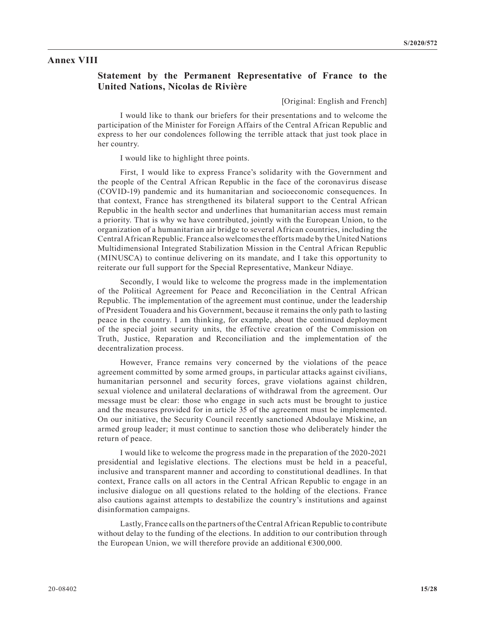#### **Annex VIII**

## **Statement by the Permanent Representative of France to the United Nations, Nicolas de Rivière**

[Original: English and French]

I would like to thank our briefers for their presentations and to welcome the participation of the Minister for Foreign Affairs of the Central African Republic and express to her our condolences following the terrible attack that just took place in her country.

I would like to highlight three points.

First, I would like to express France's solidarity with the Government and the people of the Central African Republic in the face of the coronavirus disease (COVID-19) pandemic and its humanitarian and socioeconomic consequences. In that context, France has strengthened its bilateral support to the Central African Republic in the health sector and underlines that humanitarian access must remain a priority. That is why we have contributed, jointly with the European Union, to the organization of a humanitarian air bridge to several African countries, including the Central African Republic. France also welcomes the efforts made by the United Nations Multidimensional Integrated Stabilization Mission in the Central African Republic (MINUSCA) to continue delivering on its mandate, and I take this opportunity to reiterate our full support for the Special Representative, Mankeur Ndiaye.

Secondly, I would like to welcome the progress made in the implementation of the Political Agreement for Peace and Reconciliation in the Central African Republic. The implementation of the agreement must continue, under the leadership of President Touadera and his Government, because it remains the only path to lasting peace in the country. I am thinking, for example, about the continued deployment of the special joint security units, the effective creation of the Commission on Truth, Justice, Reparation and Reconciliation and the implementation of the decentralization process.

However, France remains very concerned by the violations of the peace agreement committed by some armed groups, in particular attacks against civilians, humanitarian personnel and security forces, grave violations against children, sexual violence and unilateral declarations of withdrawal from the agreement. Our message must be clear: those who engage in such acts must be brought to justice and the measures provided for in article 35 of the agreement must be implemented. On our initiative, the Security Council recently sanctioned Abdoulaye Miskine, an armed group leader; it must continue to sanction those who deliberately hinder the return of peace.

I would like to welcome the progress made in the preparation of the 2020-2021 presidential and legislative elections. The elections must be held in a peaceful, inclusive and transparent manner and according to constitutional deadlines. In that context, France calls on all actors in the Central African Republic to engage in an inclusive dialogue on all questions related to the holding of the elections. France also cautions against attempts to destabilize the country's institutions and against disinformation campaigns.

Lastly, France calls on the partners of the Central African Republic to contribute without delay to the funding of the elections. In addition to our contribution through the European Union, we will therefore provide an additional  $\epsilon$ 300,000.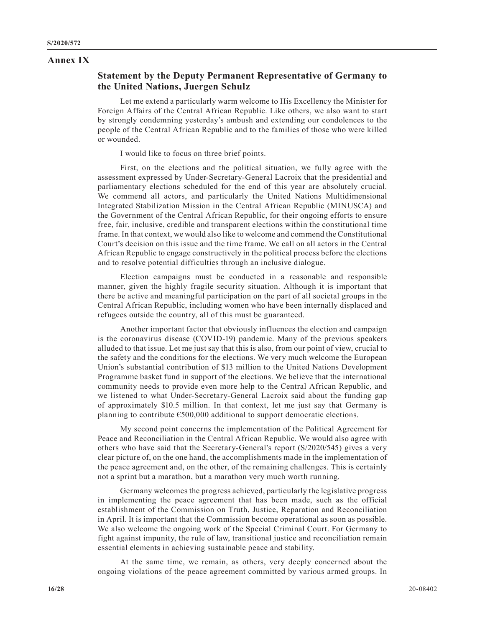#### **Annex IX**

## **Statement by the Deputy Permanent Representative of Germany to the United Nations, Juergen Schulz**

Let me extend a particularly warm welcome to His Excellency the Minister for Foreign Affairs of the Central African Republic. Like others, we also want to start by strongly condemning yesterday's ambush and extending our condolences to the people of the Central African Republic and to the families of those who were killed or wounded.

I would like to focus on three brief points.

First, on the elections and the political situation, we fully agree with the assessment expressed by Under-Secretary-General Lacroix that the presidential and parliamentary elections scheduled for the end of this year are absolutely crucial. We commend all actors, and particularly the United Nations Multidimensional Integrated Stabilization Mission in the Central African Republic (MINUSCA) and the Government of the Central African Republic, for their ongoing efforts to ensure free, fair, inclusive, credible and transparent elections within the constitutional time frame. In that context, we would also like to welcome and commend the Constitutional Court's decision on this issue and the time frame. We call on all actors in the Central African Republic to engage constructively in the political process before the elections and to resolve potential difficulties through an inclusive dialogue.

Election campaigns must be conducted in a reasonable and responsible manner, given the highly fragile security situation. Although it is important that there be active and meaningful participation on the part of all societal groups in the Central African Republic, including women who have been internally displaced and refugees outside the country, all of this must be guaranteed.

Another important factor that obviously influences the election and campaign is the coronavirus disease (COVID-19) pandemic. Many of the previous speakers alluded to that issue. Let me just say that this is also, from our point of view, crucial to the safety and the conditions for the elections. We very much welcome the European Union's substantial contribution of \$13 million to the United Nations Development Programme basket fund in support of the elections. We believe that the international community needs to provide even more help to the Central African Republic, and we listened to what Under-Secretary-General Lacroix said about the funding gap of approximately \$10.5 million. In that context, let me just say that Germany is planning to contribute  $\epsilon$ 500,000 additional to support democratic elections.

My second point concerns the implementation of the Political Agreement for Peace and Reconciliation in the Central African Republic. We would also agree with others who have said that the Secretary-General's report (S/2020/545) gives a very clear picture of, on the one hand, the accomplishments made in the implementation of the peace agreement and, on the other, of the remaining challenges. This is certainly not a sprint but a marathon, but a marathon very much worth running.

Germany welcomes the progress achieved, particularly the legislative progress in implementing the peace agreement that has been made, such as the official establishment of the Commission on Truth, Justice, Reparation and Reconciliation in April. It is important that the Commission become operational as soon as possible. We also welcome the ongoing work of the Special Criminal Court. For Germany to fight against impunity, the rule of law, transitional justice and reconciliation remain essential elements in achieving sustainable peace and stability.

At the same time, we remain, as others, very deeply concerned about the ongoing violations of the peace agreement committed by various armed groups. In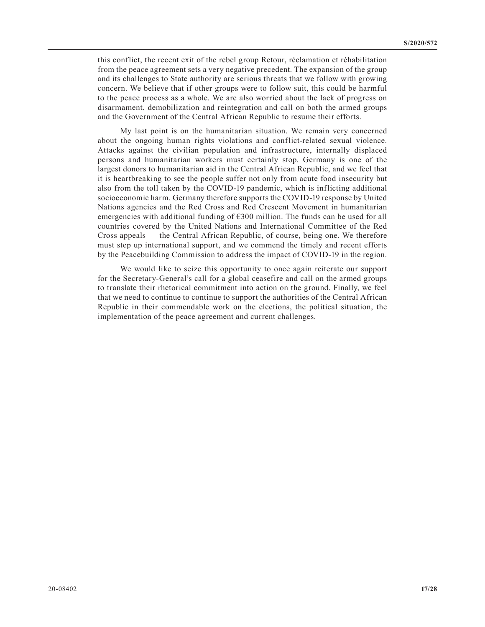this conflict, the recent exit of the rebel group Retour, réclamation et réhabilitation from the peace agreement sets a very negative precedent. The expansion of the group and its challenges to State authority are serious threats that we follow with growing concern. We believe that if other groups were to follow suit, this could be harmful to the peace process as a whole. We are also worried about the lack of progress on disarmament, demobilization and reintegration and call on both the armed groups and the Government of the Central African Republic to resume their efforts.

My last point is on the humanitarian situation. We remain very concerned about the ongoing human rights violations and conflict-related sexual violence. Attacks against the civilian population and infrastructure, internally displaced persons and humanitarian workers must certainly stop. Germany is one of the largest donors to humanitarian aid in the Central African Republic, and we feel that it is heartbreaking to see the people suffer not only from acute food insecurity but also from the toll taken by the COVID-19 pandemic, which is inflicting additional socioeconomic harm. Germany therefore supports the COVID-19 response by United Nations agencies and the Red Cross and Red Crescent Movement in humanitarian emergencies with additional funding of €300 million. The funds can be used for all countries covered by the United Nations and International Committee of the Red Cross appeals — the Central African Republic, of course, being one. We therefore must step up international support, and we commend the timely and recent efforts by the Peacebuilding Commission to address the impact of COVID-19 in the region.

We would like to seize this opportunity to once again reiterate our support for the Secretary-General's call for a global ceasefire and call on the armed groups to translate their rhetorical commitment into action on the ground. Finally, we feel that we need to continue to continue to support the authorities of the Central African Republic in their commendable work on the elections, the political situation, the implementation of the peace agreement and current challenges.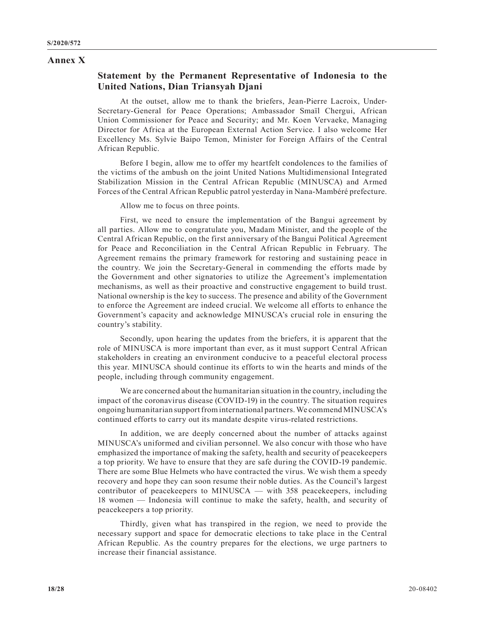#### **Annex X**

# **Statement by the Permanent Representative of Indonesia to the United Nations, Dian Triansyah Djani**

At the outset, allow me to thank the briefers, Jean-Pierre Lacroix, Under-Secretary-General for Peace Operations; Ambassador Smaïl Chergui, African Union Commissioner for Peace and Security; and Mr. Koen Vervaeke, Managing Director for Africa at the European External Action Service. I also welcome Her Excellency Ms. Sylvie Baipo Temon, Minister for Foreign Affairs of the Central African Republic.

Before I begin, allow me to offer my heartfelt condolences to the families of the victims of the ambush on the joint United Nations Multidimensional Integrated Stabilization Mission in the Central African Republic (MINUSCA) and Armed Forces of the Central African Republic patrol yesterday in Nana-Mambéré prefecture.

Allow me to focus on three points.

First, we need to ensure the implementation of the Bangui agreement by all parties. Allow me to congratulate you, Madam Minister, and the people of the Central African Republic, on the first anniversary of the Bangui Political Agreement for Peace and Reconciliation in the Central African Republic in February. The Agreement remains the primary framework for restoring and sustaining peace in the country. We join the Secretary-General in commending the efforts made by the Government and other signatories to utilize the Agreement's implementation mechanisms, as well as their proactive and constructive engagement to build trust. National ownership is the key to success. The presence and ability of the Government to enforce the Agreement are indeed crucial. We welcome all efforts to enhance the Government's capacity and acknowledge MINUSCA's crucial role in ensuring the country's stability.

Secondly, upon hearing the updates from the briefers, it is apparent that the role of MINUSCA is more important than ever, as it must support Central African stakeholders in creating an environment conducive to a peaceful electoral process this year. MINUSCA should continue its efforts to win the hearts and minds of the people, including through community engagement.

We are concerned about the humanitarian situation in the country, including the impact of the coronavirus disease (COVID-19) in the country. The situation requires ongoing humanitarian support from international partners. We commend MINUSCA's continued efforts to carry out its mandate despite virus-related restrictions.

In addition, we are deeply concerned about the number of attacks against MINUSCA's uniformed and civilian personnel. We also concur with those who have emphasized the importance of making the safety, health and security of peacekeepers a top priority. We have to ensure that they are safe during the COVID-19 pandemic. There are some Blue Helmets who have contracted the virus. We wish them a speedy recovery and hope they can soon resume their noble duties. As the Council's largest contributor of peacekeepers to MINUSCA — with 358 peacekeepers, including 18 women — Indonesia will continue to make the safety, health, and security of peacekeepers a top priority.

Thirdly, given what has transpired in the region, we need to provide the necessary support and space for democratic elections to take place in the Central African Republic. As the country prepares for the elections, we urge partners to increase their financial assistance.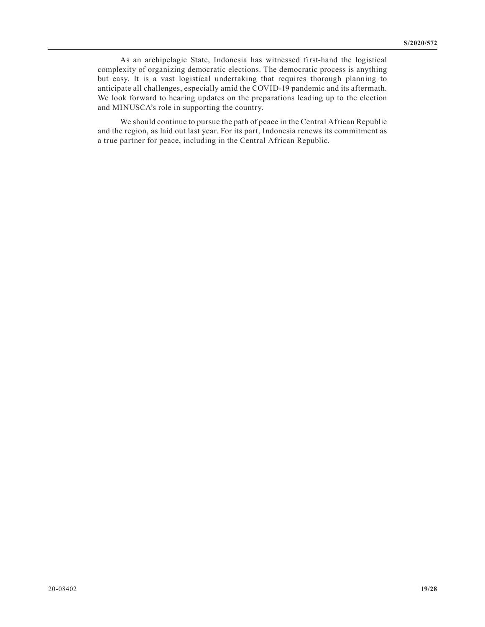As an archipelagic State, Indonesia has witnessed first-hand the logistical complexity of organizing democratic elections. The democratic process is anything but easy. It is a vast logistical undertaking that requires thorough planning to anticipate all challenges, especially amid the COVID-19 pandemic and its aftermath. We look forward to hearing updates on the preparations leading up to the election and MINUSCA's role in supporting the country.

We should continue to pursue the path of peace in the Central African Republic and the region, as laid out last year. For its part, Indonesia renews its commitment as a true partner for peace, including in the Central African Republic.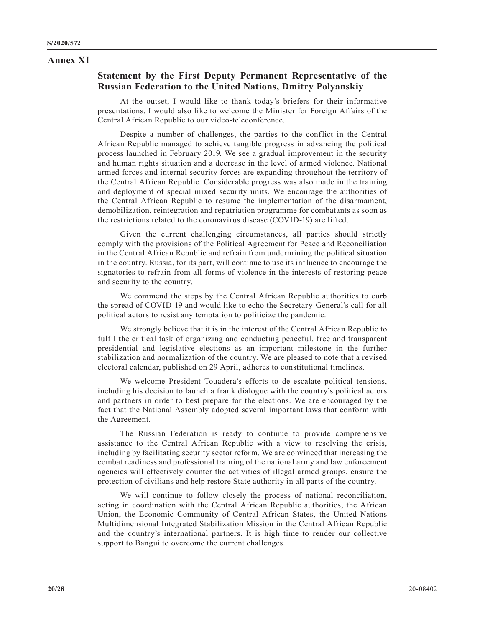## **Annex XI**

## **Statement by the First Deputy Permanent Representative of the Russian Federation to the United Nations, Dmitry Polyanskiy**

At the outset, I would like to thank today's briefers for their informative presentations. I would also like to welcome the Minister for Foreign Affairs of the Central African Republic to our video-teleconference.

Despite a number of challenges, the parties to the conflict in the Central African Republic managed to achieve tangible progress in advancing the political process launched in February 2019. We see a gradual improvement in the security and human rights situation and a decrease in the level of armed violence. National armed forces and internal security forces are expanding throughout the territory of the Central African Republic. Considerable progress was also made in the training and deployment of special mixed security units. We encourage the authorities of the Central African Republic to resume the implementation of the disarmament, demobilization, reintegration and repatriation programme for combatants as soon as the restrictions related to the coronavirus disease (COVID-19) are lifted.

Given the current challenging circumstances, all parties should strictly comply with the provisions of the Political Agreement for Peace and Reconciliation in the Central African Republic and refrain from undermining the political situation in the country. Russia, for its part, will continue to use its influence to encourage the signatories to refrain from all forms of violence in the interests of restoring peace and security to the country.

We commend the steps by the Central African Republic authorities to curb the spread of COVID-19 and would like to echo the Secretary-General's call for all political actors to resist any temptation to politicize the pandemic.

We strongly believe that it is in the interest of the Central African Republic to fulfil the critical task of organizing and conducting peaceful, free and transparent presidential and legislative elections as an important milestone in the further stabilization and normalization of the country. We are pleased to note that a revised electoral calendar, published on 29 April, adheres to constitutional timelines.

We welcome President Touadera's efforts to de-escalate political tensions, including his decision to launch a frank dialogue with the country's political actors and partners in order to best prepare for the elections. We are encouraged by the fact that the National Assembly adopted several important laws that conform with the Agreement.

The Russian Federation is ready to continue to provide comprehensive assistance to the Central African Republic with a view to resolving the crisis, including by facilitating security sector reform. We are convinced that increasing the combat readiness and professional training of the national army and law enforcement agencies will effectively counter the activities of illegal armed groups, ensure the protection of civilians and help restore State authority in all parts of the country.

We will continue to follow closely the process of national reconciliation, acting in coordination with the Central African Republic authorities, the African Union, the Economic Community of Central African States, the United Nations Multidimensional Integrated Stabilization Mission in the Central African Republic and the country's international partners. It is high time to render our collective support to Bangui to overcome the current challenges.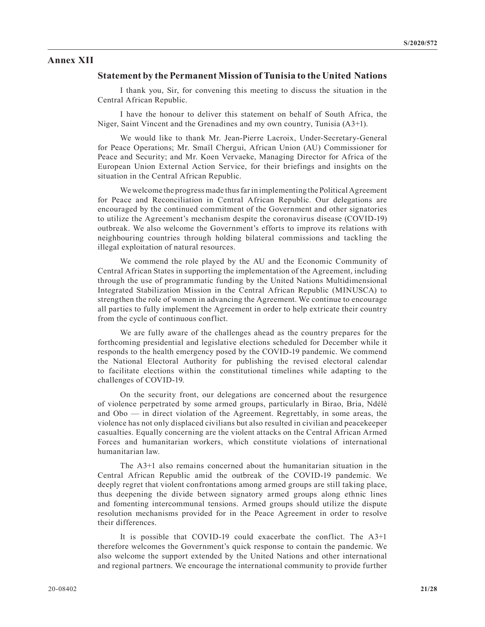#### **Annex XII**

#### **Statement by the Permanent Mission of Tunisia to the United Nations**

I thank you, Sir, for convening this meeting to discuss the situation in the Central African Republic.

I have the honour to deliver this statement on behalf of South Africa, the Niger, Saint Vincent and the Grenadines and my own country, Tunisia (A3+1).

We would like to thank Mr. Jean-Pierre Lacroix, Under-Secretary-General for Peace Operations; Mr. Smaïl Chergui, African Union (AU) Commissioner for Peace and Security; and Mr. Koen Vervaeke, Managing Director for Africa of the European Union External Action Service, for their briefings and insights on the situation in the Central African Republic.

We welcome the progress made thus far in implementing the Political Agreement for Peace and Reconciliation in Central African Republic. Our delegations are encouraged by the continued commitment of the Government and other signatories to utilize the Agreement's mechanism despite the coronavirus disease (COVID-19) outbreak. We also welcome the Government's efforts to improve its relations with neighbouring countries through holding bilateral commissions and tackling the illegal exploitation of natural resources.

We commend the role played by the AU and the Economic Community of Central African States in supporting the implementation of the Agreement, including through the use of programmatic funding by the United Nations Multidimensional Integrated Stabilization Mission in the Central African Republic (MINUSCA) to strengthen the role of women in advancing the Agreement. We continue to encourage all parties to fully implement the Agreement in order to help extricate their country from the cycle of continuous conflict.

We are fully aware of the challenges ahead as the country prepares for the forthcoming presidential and legislative elections scheduled for December while it responds to the health emergency posed by the COVID-19 pandemic. We commend the National Electoral Authority for publishing the revised electoral calendar to facilitate elections within the constitutional timelines while adapting to the challenges of COVID-19.

On the security front, our delegations are concerned about the resurgence of violence perpetrated by some armed groups, particularly in Birao, Bria, Ndélé and Obo — in direct violation of the Agreement. Regrettably, in some areas, the violence has not only displaced civilians but also resulted in civilian and peacekeeper casualties. Equally concerning are the violent attacks on the Central African Armed Forces and humanitarian workers, which constitute violations of international humanitarian law.

The A3+1 also remains concerned about the humanitarian situation in the Central African Republic amid the outbreak of the COVID-19 pandemic. We deeply regret that violent confrontations among armed groups are still taking place, thus deepening the divide between signatory armed groups along ethnic lines and fomenting intercommunal tensions. Armed groups should utilize the dispute resolution mechanisms provided for in the Peace Agreement in order to resolve their differences.

It is possible that COVID-19 could exacerbate the conflict. The A3+1 therefore welcomes the Government's quick response to contain the pandemic. We also welcome the support extended by the United Nations and other international and regional partners. We encourage the international community to provide further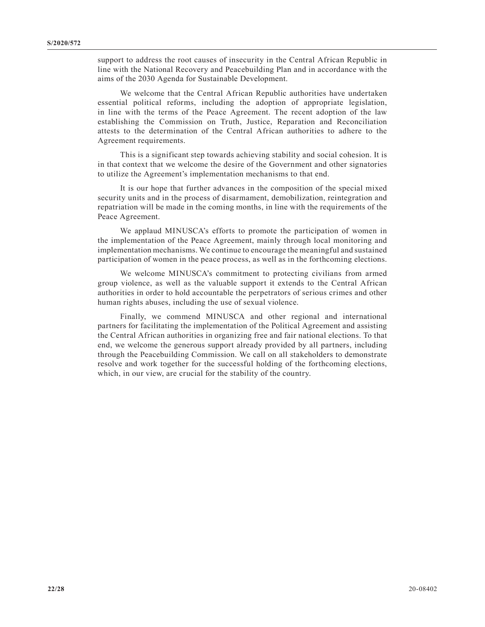support to address the root causes of insecurity in the Central African Republic in line with the National Recovery and Peacebuilding Plan and in accordance with the aims of the 2030 Agenda for Sustainable Development.

We welcome that the Central African Republic authorities have undertaken essential political reforms, including the adoption of appropriate legislation, in line with the terms of the Peace Agreement. The recent adoption of the law establishing the Commission on Truth, Justice, Reparation and Reconciliation attests to the determination of the Central African authorities to adhere to the Agreement requirements.

This is a significant step towards achieving stability and social cohesion. It is in that context that we welcome the desire of the Government and other signatories to utilize the Agreement's implementation mechanisms to that end.

It is our hope that further advances in the composition of the special mixed security units and in the process of disarmament, demobilization, reintegration and repatriation will be made in the coming months, in line with the requirements of the Peace Agreement.

We applaud MINUSCA's efforts to promote the participation of women in the implementation of the Peace Agreement, mainly through local monitoring and implementation mechanisms. We continue to encourage the meaningful and sustained participation of women in the peace process, as well as in the forthcoming elections.

We welcome MINUSCA's commitment to protecting civilians from armed group violence, as well as the valuable support it extends to the Central African authorities in order to hold accountable the perpetrators of serious crimes and other human rights abuses, including the use of sexual violence.

Finally, we commend MINUSCA and other regional and international partners for facilitating the implementation of the Political Agreement and assisting the Central African authorities in organizing free and fair national elections. To that end, we welcome the generous support already provided by all partners, including through the Peacebuilding Commission. We call on all stakeholders to demonstrate resolve and work together for the successful holding of the forthcoming elections, which, in our view, are crucial for the stability of the country.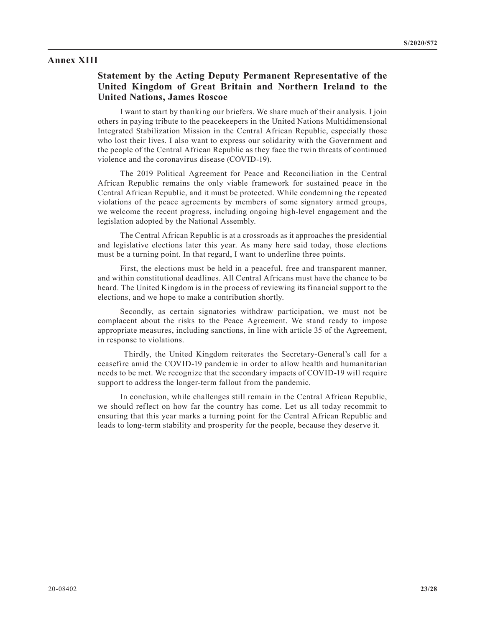#### **Annex XIII**

# **Statement by the Acting Deputy Permanent Representative of the United Kingdom of Great Britain and Northern Ireland to the United Nations, James Roscoe**

I want to start by thanking our briefers. We share much of their analysis. I join others in paying tribute to the peacekeepers in the United Nations Multidimensional Integrated Stabilization Mission in the Central African Republic, especially those who lost their lives. I also want to express our solidarity with the Government and the people of the Central African Republic as they face the twin threats of continued violence and the coronavirus disease (COVID-19).

The 2019 Political Agreement for Peace and Reconciliation in the Central African Republic remains the only viable framework for sustained peace in the Central African Republic, and it must be protected. While condemning the repeated violations of the peace agreements by members of some signatory armed groups, we welcome the recent progress, including ongoing high-level engagement and the legislation adopted by the National Assembly.

The Central African Republic is at a crossroads as it approaches the presidential and legislative elections later this year. As many here said today, those elections must be a turning point. In that regard, I want to underline three points.

First, the elections must be held in a peaceful, free and transparent manner, and within constitutional deadlines. All Central Africans must have the chance to be heard. The United Kingdom is in the process of reviewing its financial support to the elections, and we hope to make a contribution shortly.

Secondly, as certain signatories withdraw participation, we must not be complacent about the risks to the Peace Agreement. We stand ready to impose appropriate measures, including sanctions, in line with article 35 of the Agreement, in response to violations.

 Thirdly, the United Kingdom reiterates the Secretary-General's call for a ceasefire amid the COVID-19 pandemic in order to allow health and humanitarian needs to be met. We recognize that the secondary impacts of COVID-19 will require support to address the longer-term fallout from the pandemic.

In conclusion, while challenges still remain in the Central African Republic, we should reflect on how far the country has come. Let us all today recommit to ensuring that this year marks a turning point for the Central African Republic and leads to long-term stability and prosperity for the people, because they deserve it.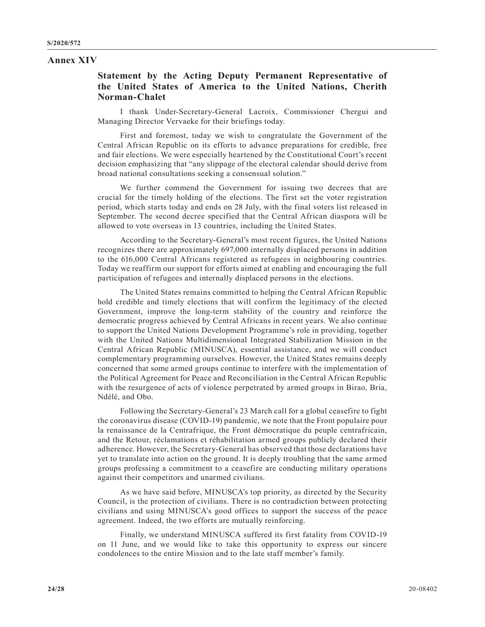#### **Annex XIV**

## **Statement by the Acting Deputy Permanent Representative of the United States of America to the United Nations, Cherith Norman-Chalet**

I thank Under-Secretary-General Lacroix, Commissioner Chergui and Managing Director Vervaeke for their briefings today.

First and foremost, today we wish to congratulate the Government of the Central African Republic on its efforts to advance preparations for credible, free and fair elections. We were especially heartened by the Constitutional Court's recent decision emphasizing that "any slippage of the electoral calendar should derive from broad national consultations seeking a consensual solution."

We further commend the Government for issuing two decrees that are crucial for the timely holding of the elections. The first set the voter registration period, which starts today and ends on 28 July, with the final voters list released in September. The second decree specified that the Central African diaspora will be allowed to vote overseas in 13 countries, including the United States.

According to the Secretary-General's most recent figures, the United Nations recognizes there are approximately 697,000 internally displaced persons in addition to the 616,000 Central Africans registered as refugees in neighbouring countries. Today we reaffirm our support for efforts aimed at enabling and encouraging the full participation of refugees and internally displaced persons in the elections.

The United States remains committed to helping the Central African Republic hold credible and timely elections that will confirm the legitimacy of the elected Government, improve the long-term stability of the country and reinforce the democratic progress achieved by Central Africans in recent years. We also continue to support the United Nations Development Programme's role in providing, together with the United Nations Multidimensional Integrated Stabilization Mission in the Central African Republic (MINUSCA), essential assistance, and we will conduct complementary programming ourselves. However, the United States remains deeply concerned that some armed groups continue to interfere with the implementation of the Political Agreement for Peace and Reconciliation in the Central African Republic with the resurgence of acts of violence perpetrated by armed groups in Birao, Bria, Ndélé, and Obo.

Following the Secretary-General's 23 March call for a global ceasefire to fight the coronavirus disease (COVID-19) pandemic, we note that the Front populaire pour la renaissance de la Centrafrique, the Front démocratique du peuple centrafricain, and the Retour, réclamations et réhabilitation armed groups publicly declared their adherence. However, the Secretary-General has observed that those declarations have yet to translate into action on the ground. It is deeply troubling that the same armed groups professing a commitment to a ceasefire are conducting military operations against their competitors and unarmed civilians.

As we have said before, MINUSCA's top priority, as directed by the Security Council, is the protection of civilians. There is no contradiction between protecting civilians and using MINUSCA's good offices to support the success of the peace agreement. Indeed, the two efforts are mutually reinforcing.

Finally, we understand MINUSCA suffered its first fatality from COVID-19 on 11 June, and we would like to take this opportunity to express our sincere condolences to the entire Mission and to the late staff member's family.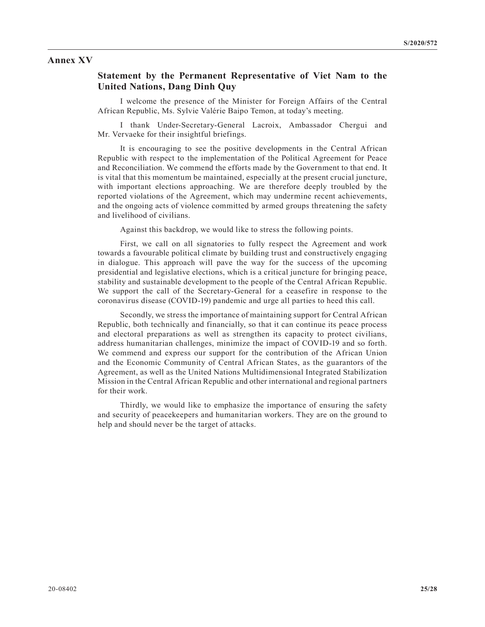#### **Annex XV**

### **Statement by the Permanent Representative of Viet Nam to the United Nations, Dang Dinh Quy**

I welcome the presence of the Minister for Foreign Affairs of the Central African Republic, Ms. Sylvie Valérie Baipo Temon, at today's meeting.

I thank Under-Secretary-General Lacroix, Ambassador Chergui and Mr. Vervaeke for their insightful briefings.

It is encouraging to see the positive developments in the Central African Republic with respect to the implementation of the Political Agreement for Peace and Reconciliation. We commend the efforts made by the Government to that end. It is vital that this momentum be maintained, especially at the present crucial juncture, with important elections approaching. We are therefore deeply troubled by the reported violations of the Agreement, which may undermine recent achievements, and the ongoing acts of violence committed by armed groups threatening the safety and livelihood of civilians.

Against this backdrop, we would like to stress the following points.

First, we call on all signatories to fully respect the Agreement and work towards a favourable political climate by building trust and constructively engaging in dialogue. This approach will pave the way for the success of the upcoming presidential and legislative elections, which is a critical juncture for bringing peace, stability and sustainable development to the people of the Central African Republic. We support the call of the Secretary-General for a ceasefire in response to the coronavirus disease (COVID-19) pandemic and urge all parties to heed this call.

Secondly, we stress the importance of maintaining support for Central African Republic, both technically and financially, so that it can continue its peace process and electoral preparations as well as strengthen its capacity to protect civilians, address humanitarian challenges, minimize the impact of COVID-19 and so forth. We commend and express our support for the contribution of the African Union and the Economic Community of Central African States, as the guarantors of the Agreement, as well as the United Nations Multidimensional Integrated Stabilization Mission in the Central African Republic and other international and regional partners for their work.

Thirdly, we would like to emphasize the importance of ensuring the safety and security of peacekeepers and humanitarian workers. They are on the ground to help and should never be the target of attacks.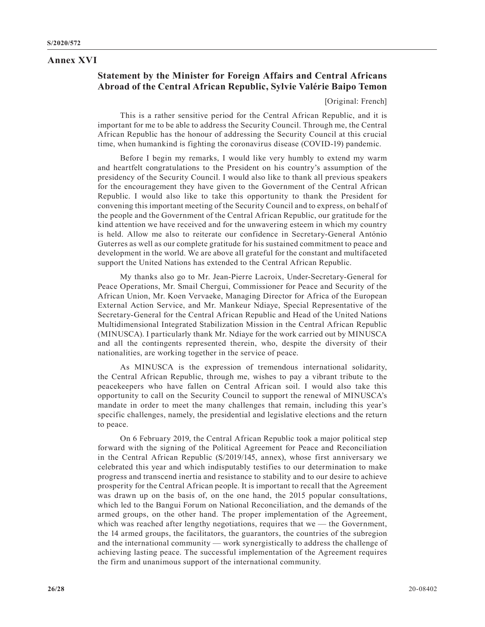#### **Annex XVI**

# **Statement by the Minister for Foreign Affairs and Central Africans Abroad of the Central African Republic, Sylvie Valérie Baipo Temon**

[Original: French]

This is a rather sensitive period for the Central African Republic, and it is important for me to be able to address the Security Council. Through me, the Central African Republic has the honour of addressing the Security Council at this crucial time, when humankind is fighting the coronavirus disease (COVID-19) pandemic.

Before I begin my remarks, I would like very humbly to extend my warm and heartfelt congratulations to the President on his country's assumption of the presidency of the Security Council. I would also like to thank all previous speakers for the encouragement they have given to the Government of the Central African Republic. I would also like to take this opportunity to thank the President for convening this important meeting of the Security Council and to express, on behalf of the people and the Government of the Central African Republic, our gratitude for the kind attention we have received and for the unwavering esteem in which my country is held. Allow me also to reiterate our confidence in Secretary-General António Guterres as well as our complete gratitude for his sustained commitment to peace and development in the world. We are above all grateful for the constant and multifaceted support the United Nations has extended to the Central African Republic.

My thanks also go to Mr. Jean-Pierre Lacroix, Under-Secretary-General for Peace Operations, Mr. Smail Chergui, Commissioner for Peace and Security of the African Union, Mr. Koen Vervaeke, Managing Director for Africa of the European External Action Service, and Mr. Mankeur Ndiaye, Special Representative of the Secretary-General for the Central African Republic and Head of the United Nations Multidimensional Integrated Stabilization Mission in the Central African Republic (MINUSCA). I particularly thank Mr. Ndiaye for the work carried out by MINUSCA and all the contingents represented therein, who, despite the diversity of their nationalities, are working together in the service of peace.

As MINUSCA is the expression of tremendous international solidarity, the Central African Republic, through me, wishes to pay a vibrant tribute to the peacekeepers who have fallen on Central African soil. I would also take this opportunity to call on the Security Council to support the renewal of MINUSCA's mandate in order to meet the many challenges that remain, including this year's specific challenges, namely, the presidential and legislative elections and the return to peace.

On 6 February 2019, the Central African Republic took a major political step forward with the signing of the Political Agreement for Peace and Reconciliation in the Central African Republic (S/2019/145, annex), whose first anniversary we celebrated this year and which indisputably testifies to our determination to make progress and transcend inertia and resistance to stability and to our desire to achieve prosperity for the Central African people. It is important to recall that the Agreement was drawn up on the basis of, on the one hand, the 2015 popular consultations, which led to the Bangui Forum on National Reconciliation, and the demands of the armed groups, on the other hand. The proper implementation of the Agreement, which was reached after lengthy negotiations, requires that we — the Government, the 14 armed groups, the facilitators, the guarantors, the countries of the subregion and the international community — work synergistically to address the challenge of achieving lasting peace. The successful implementation of the Agreement requires the firm and unanimous support of the international community.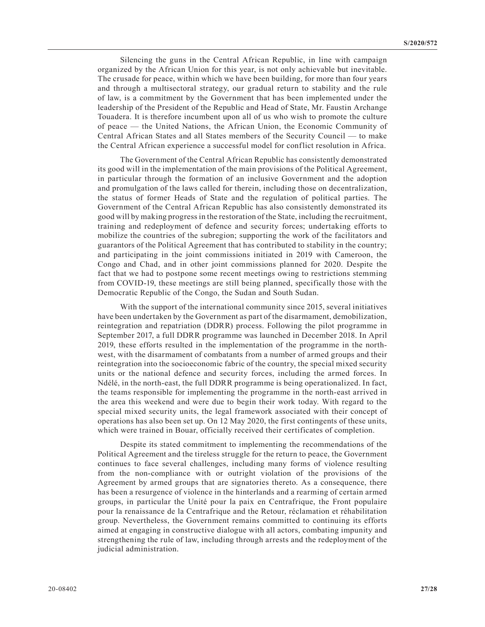Silencing the guns in the Central African Republic, in line with campaign organized by the African Union for this year, is not only achievable but inevitable. The crusade for peace, within which we have been building, for more than four years and through a multisectoral strategy, our gradual return to stability and the rule of law, is a commitment by the Government that has been implemented under the leadership of the President of the Republic and Head of State, Mr. Faustin Archange Touadera. It is therefore incumbent upon all of us who wish to promote the culture of peace — the United Nations, the African Union, the Economic Community of Central African States and all States members of the Security Council — to make the Central African experience a successful model for conflict resolution in Africa.

The Government of the Central African Republic has consistently demonstrated its good will in the implementation of the main provisions of the Political Agreement, in particular through the formation of an inclusive Government and the adoption and promulgation of the laws called for therein, including those on decentralization, the status of former Heads of State and the regulation of political parties. The Government of the Central African Republic has also consistently demonstrated its good will by making progress in the restoration of the State, including the recruitment, training and redeployment of defence and security forces; undertaking efforts to mobilize the countries of the subregion; supporting the work of the facilitators and guarantors of the Political Agreement that has contributed to stability in the country; and participating in the joint commissions initiated in 2019 with Cameroon, the Congo and Chad, and in other joint commissions planned for 2020. Despite the fact that we had to postpone some recent meetings owing to restrictions stemming from COVID-19, these meetings are still being planned, specifically those with the Democratic Republic of the Congo, the Sudan and South Sudan.

With the support of the international community since 2015, several initiatives have been undertaken by the Government as part of the disarmament, demobilization, reintegration and repatriation (DDRR) process. Following the pilot programme in September 2017, a full DDRR programme was launched in December 2018. In April 2019, these efforts resulted in the implementation of the programme in the northwest, with the disarmament of combatants from a number of armed groups and their reintegration into the socioeconomic fabric of the country, the special mixed security units or the national defence and security forces, including the armed forces. In Ndélé, in the north-east, the full DDRR programme is being operationalized. In fact, the teams responsible for implementing the programme in the north-east arrived in the area this weekend and were due to begin their work today. With regard to the special mixed security units, the legal framework associated with their concept of operations has also been set up. On 12 May 2020, the first contingents of these units, which were trained in Bouar, officially received their certificates of completion.

Despite its stated commitment to implementing the recommendations of the Political Agreement and the tireless struggle for the return to peace, the Government continues to face several challenges, including many forms of violence resulting from the non-compliance with or outright violation of the provisions of the Agreement by armed groups that are signatories thereto. As a consequence, there has been a resurgence of violence in the hinterlands and a rearming of certain armed groups, in particular the Unité pour la paix en Centrafrique, the Front populaire pour la renaissance de la Centrafrique and the Retour, réclamation et réhabilitation group. Nevertheless, the Government remains committed to continuing its efforts aimed at engaging in constructive dialogue with all actors, combating impunity and strengthening the rule of law, including through arrests and the redeployment of the judicial administration.